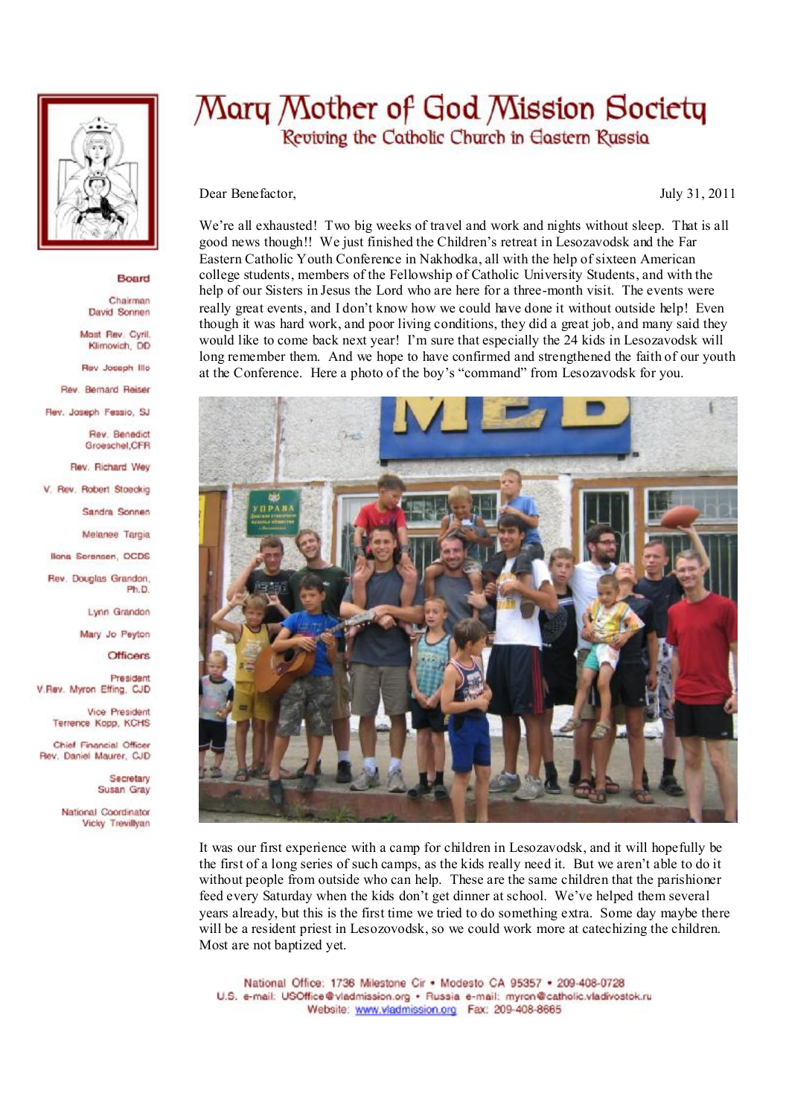

## Board

Chairman David Sonnen

Mast Rev. Cyril. Klimovich, DD

Rev Joseph Illo

Rev. Bernard Reiser

Rev. Joseph Fessio, SJ

Rev. Benedict Groeschel, CFR

Rev. Richard Wey

V. Rev. Robert Stoeckig

Sandra Sonnen

Melanee Targia

**Ilona Sorensen, OCDS** 

Rev. Douglas Grandon. Ph.D

Lynn Grandon

Mary Jo Peyton

**Officers** 

President V.Rev. Myron Effing, CJD

> Vice President Terrence Kopp, KCHS

Chief Financial Officer Rev. Daniel Maurer, CJD

> Secretary Susan Gray

National Coordinator Vicky Trevillvan

## Mary Mother of God Mission Society Reviving the Catholic Church in Eastern Russia

Dear Benefactor,

July 31, 2011

We're all exhausted! Two big weeks of travel and work and nights without sleep. That is all good news though!! We just finished the Children's retreat in Lesozavodsk and the Far Eastern Catholic Youth Conference in Nakhodka, all with the help of sixteen American college students, members of the Fellowship of Catholic University Students, and with the help of our Sisters in Jesus the Lord who are here for a three-month visit. The events were really great events, and I don't know how we could have done it without outside help! Even though it was hard work, and poor living conditions, they did a great job, and many said they would like to come back next year! I'm sure that especially the 24 kids in Lesozavodsk will long remember them. And we hope to have confirmed and strengthened the faith of our youth at the Conference. Here a photo of the boy's "command" from Lesozavodsk for you.



It was our first experience with a camp for children in Lesozavodsk, and it will hopefully be the first of a long series of such camps, as the kids really need it. But we aren't able to do it without people from outside who can help. These are the same children that the parishioner feed every Saturday when the kids don't get dinner at school. We've helped them several years already, but this is the first time we tried to do something extra. Some day maybe there will be a resident priest in Lesozovodsk, so we could work more at catechizing the children. Most are not baptized yet.

National Office: 1736 Milestone Cir . Modesto CA 95357 . 209-408-0728 U.S. e-mail: USOffice@vladmission.org · Russia e-mail: myron@catholic.vladivostok.ru Website: www.vladmission.org Fax: 209-408-8665